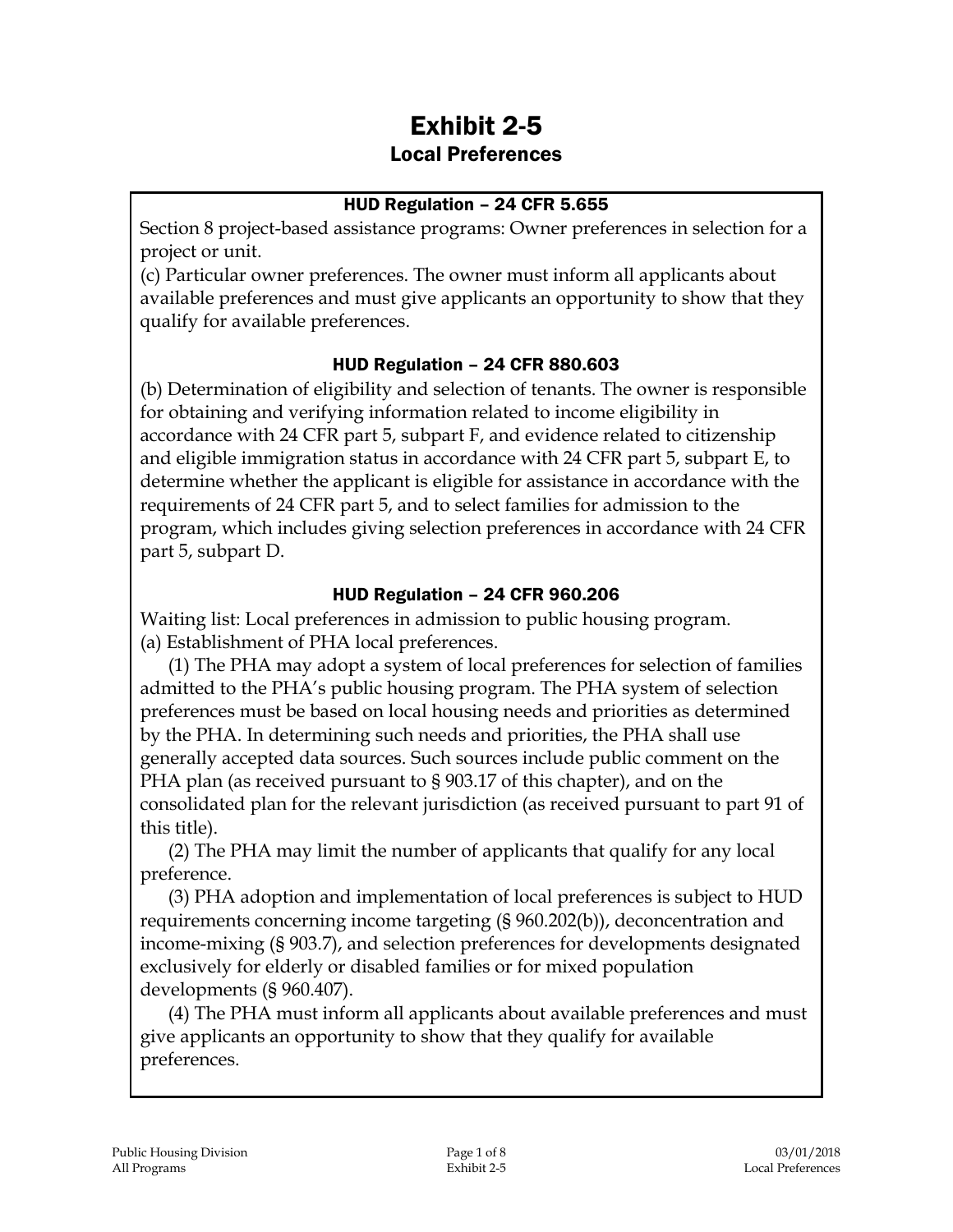# Exhibit 2-5 Local Preferences

### HUD Regulation – 24 CFR 5.655

Section 8 project-based assistance programs: Owner preferences in selection for a project or unit.

(c) Particular owner preferences. The owner must inform all applicants about available preferences and must give applicants an opportunity to show that they qualify for available preferences.

### HUD Regulation – 24 CFR 880.603

(b) Determination of eligibility and selection of tenants. The owner is responsible for obtaining and verifying information related to income eligibility in accordance with 24 CFR part 5, subpart F, and evidence related to citizenship and eligible immigration status in accordance with 24 CFR part 5, subpart E, to determine whether the applicant is eligible for assistance in accordance with the requirements of 24 CFR part 5, and to select families for admission to the program, which includes giving selection preferences in accordance with 24 CFR part 5, subpart D.

#### HUD Regulation – 24 CFR 960.206

Waiting list: Local preferences in admission to public housing program. (a) Establishment of PHA local preferences.

(1) The PHA may adopt a system of local preferences for selection of families admitted to the PHA's public housing program. The PHA system of selection preferences must be based on local housing needs and priorities as determined by the PHA. In determining such needs and priorities, the PHA shall use generally accepted data sources. Such sources include public comment on the PHA plan (as received pursuant to § 903.17 of this chapter), and on the consolidated plan for the relevant jurisdiction (as received pursuant to part 91 of this title).

(2) The PHA may limit the number of applicants that qualify for any local preference.

(3) PHA adoption and implementation of local preferences is subject to HUD requirements concerning income targeting (§ 960.202(b)), deconcentration and income-mixing (§ 903.7), and selection preferences for developments designated exclusively for elderly or disabled families or for mixed population developments (§ 960.407).

(4) The PHA must inform all applicants about available preferences and must give applicants an opportunity to show that they qualify for available preferences.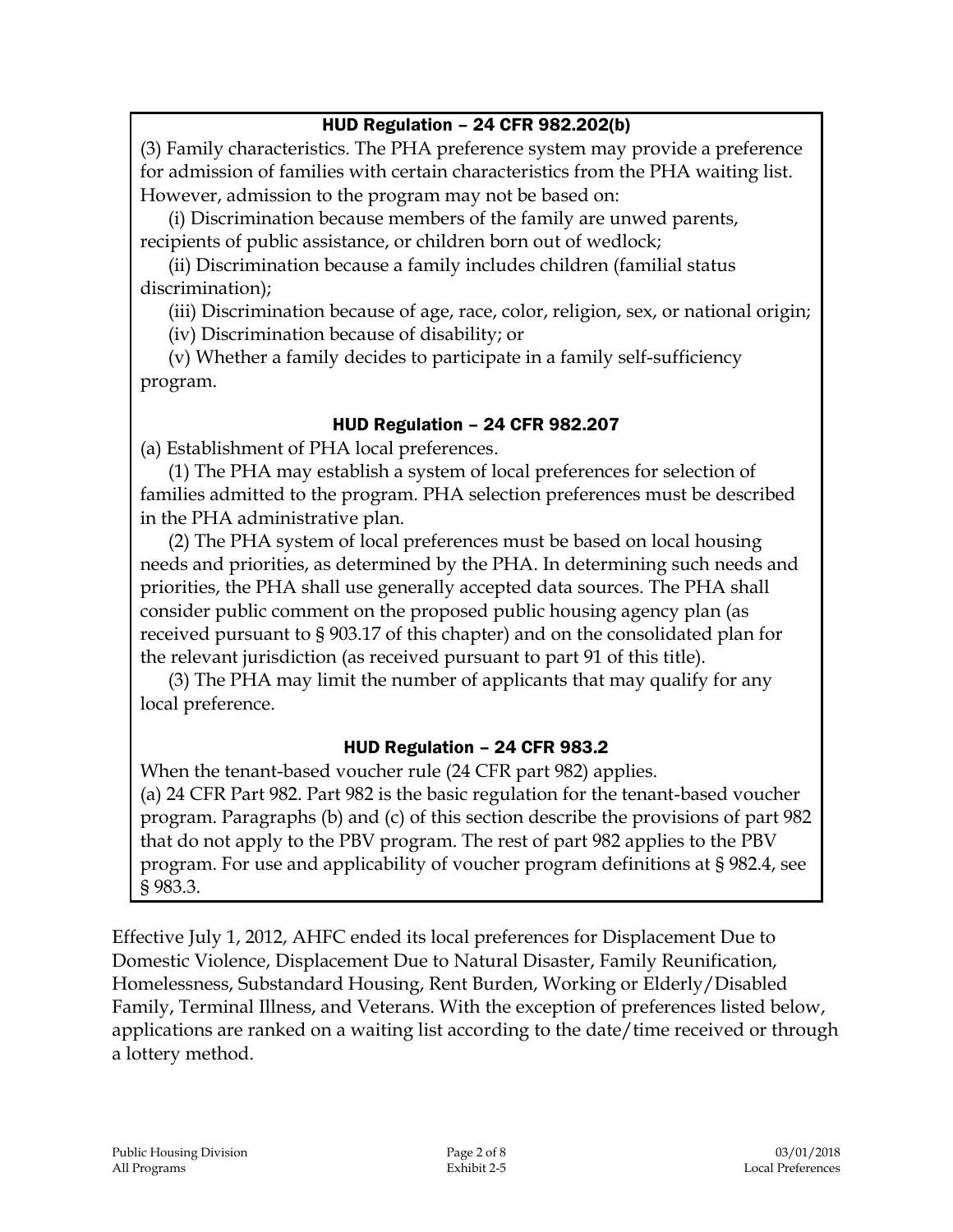### HUD Regulation – 24 CFR 982.202(b)

(3) Family characteristics. The PHA preference system may provide a preference for admission of families with certain characteristics from the PHA waiting list. However, admission to the program may not be based on:

(i) Discrimination because members of the family are unwed parents, recipients of public assistance, or children born out of wedlock;

(ii) Discrimination because a family includes children (familial status discrimination);

(iii) Discrimination because of age, race, color, religion, sex, or national origin;

(iv) Discrimination because of disability; or

(v) Whether a family decides to participate in a family self-sufficiency program.

### HUD Regulation – 24 CFR 982.207

(a) Establishment of PHA local preferences.

(1) The PHA may establish a system of local preferences for selection of families admitted to the program. PHA selection preferences must be described in the PHA administrative plan.

(2) The PHA system of local preferences must be based on local housing needs and priorities, as determined by the PHA. In determining such needs and priorities, the PHA shall use generally accepted data sources. The PHA shall consider public comment on the proposed public housing agency plan (as received pursuant to § 903.17 of this chapter) and on the consolidated plan for the relevant jurisdiction (as received pursuant to part 91 of this title).

(3) The PHA may limit the number of applicants that may qualify for any local preference.

### HUD Regulation – 24 CFR 983.2

When the tenant-based voucher rule (24 CFR part 982) applies. (a) 24 CFR Part 982. Part 982 is the basic regulation for the tenant-based voucher program. Paragraphs (b) and (c) of this section describe the provisions of part 982 that do not apply to the PBV program. The rest of part 982 applies to the PBV program. For use and applicability of voucher program definitions at § 982.4, see § 983.3.

Effective July 1, 2012, AHFC ended its local preferences for Displacement Due to Domestic Violence, Displacement Due to Natural Disaster, Family Reunification, Homelessness, Substandard Housing, Rent Burden, Working or Elderly/Disabled Family, Terminal Illness, and Veterans. With the exception of preferences listed below, applications are ranked on a waiting list according to the date/time received or through a lottery method.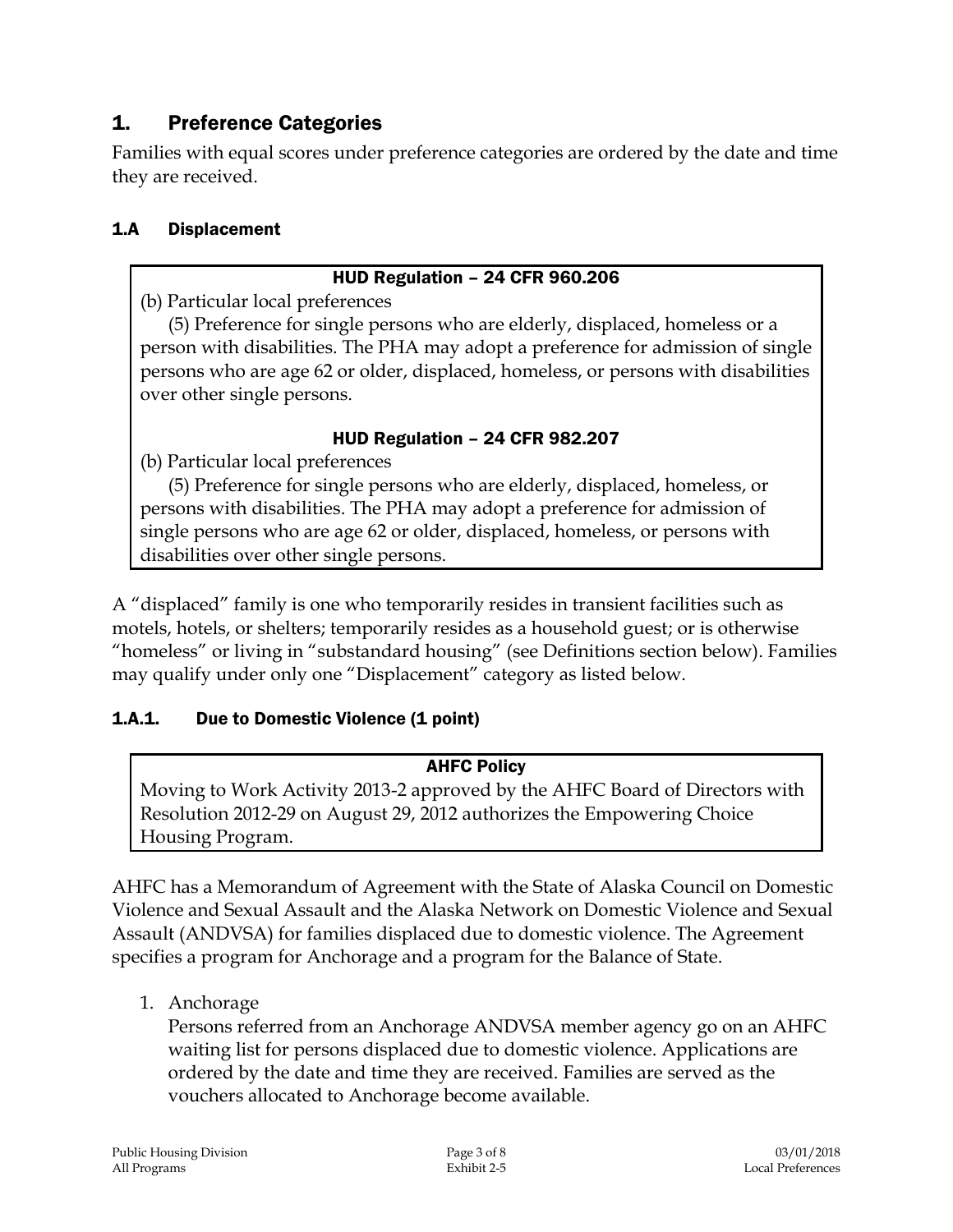# 1. Preference Categories

Families with equal scores under preference categories are ordered by the date and time they are received.

### 1.A Displacement

#### HUD Regulation – 24 CFR 960.206

(b) Particular local preferences

(5) Preference for single persons who are elderly, displaced, homeless or a person with disabilities. The PHA may adopt a preference for admission of single persons who are age 62 or older, displaced, homeless, or persons with disabilities over other single persons.

#### HUD Regulation – 24 CFR 982.207

(b) Particular local preferences

(5) Preference for single persons who are elderly, displaced, homeless, or persons with disabilities. The PHA may adopt a preference for admission of single persons who are age 62 or older, displaced, homeless, or persons with disabilities over other single persons.

A "displaced" family is one who temporarily resides in transient facilities such as motels, hotels, or shelters; temporarily resides as a household guest; or is otherwise "homeless" or living in "substandard housing" (see Definitions section below). Families may qualify under only one "Displacement" category as listed below.

### 1.A.1. Due to Domestic Violence (1 point)

### AHFC Policy

Moving to Work Activity 2013-2 approved by the AHFC Board of Directors with Resolution 2012-29 on August 29, 2012 authorizes the Empowering Choice Housing Program.

AHFC has a Memorandum of Agreement with the State of Alaska Council on Domestic Violence and Sexual Assault and the Alaska Network on Domestic Violence and Sexual Assault (ANDVSA) for families displaced due to domestic violence. The Agreement specifies a program for Anchorage and a program for the Balance of State.

1. Anchorage

Persons referred from an Anchorage ANDVSA member agency go on an AHFC waiting list for persons displaced due to domestic violence. Applications are ordered by the date and time they are received. Families are served as the vouchers allocated to Anchorage become available.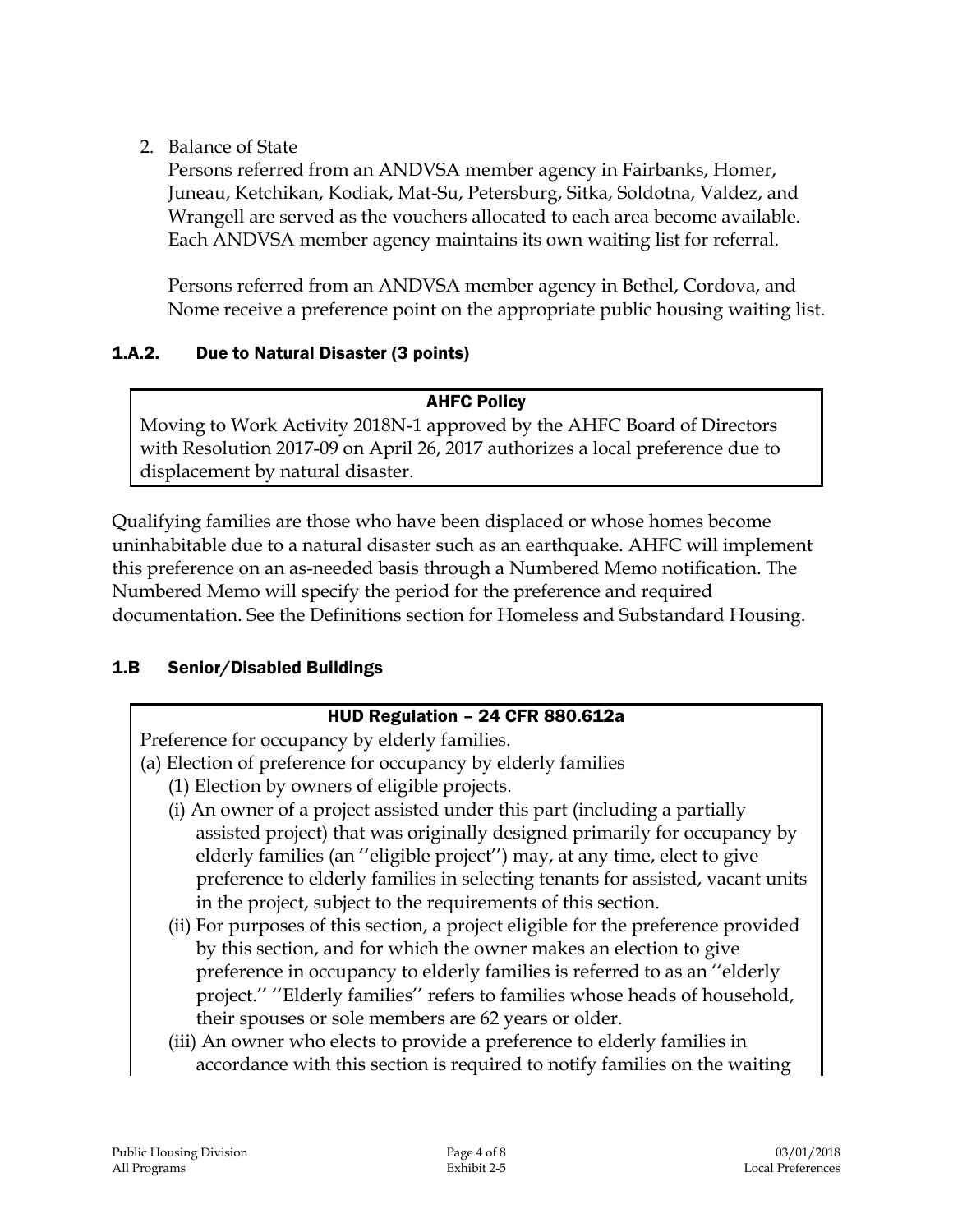2. Balance of State

Persons referred from an ANDVSA member agency in Fairbanks, Homer, Juneau, Ketchikan, Kodiak, Mat-Su, Petersburg, Sitka, Soldotna, Valdez, and Wrangell are served as the vouchers allocated to each area become available. Each ANDVSA member agency maintains its own waiting list for referral.

Persons referred from an ANDVSA member agency in Bethel, Cordova, and Nome receive a preference point on the appropriate public housing waiting list.

### 1.A.2. Due to Natural Disaster (3 points)

#### AHFC Policy

Moving to Work Activity 2018N-1 approved by the AHFC Board of Directors with Resolution 2017-09 on April 26, 2017 authorizes a local preference due to displacement by natural disaster.

Qualifying families are those who have been displaced or whose homes become uninhabitable due to a natural disaster such as an earthquake. AHFC will implement this preference on an as-needed basis through a Numbered Memo notification. The Numbered Memo will specify the period for the preference and required documentation. See the Definitions section for Homeless and Substandard Housing.

### 1.B Senior/Disabled Buildings

### HUD Regulation – 24 CFR 880.612a

Preference for occupancy by elderly families.

- (a) Election of preference for occupancy by elderly families
	- (1) Election by owners of eligible projects.
	- (i) An owner of a project assisted under this part (including a partially assisted project) that was originally designed primarily for occupancy by elderly families (an ''eligible project'') may, at any time, elect to give preference to elderly families in selecting tenants for assisted, vacant units in the project, subject to the requirements of this section.
	- (ii) For purposes of this section, a project eligible for the preference provided by this section, and for which the owner makes an election to give preference in occupancy to elderly families is referred to as an ''elderly project.'' ''Elderly families'' refers to families whose heads of household, their spouses or sole members are 62 years or older.
	- (iii) An owner who elects to provide a preference to elderly families in accordance with this section is required to notify families on the waiting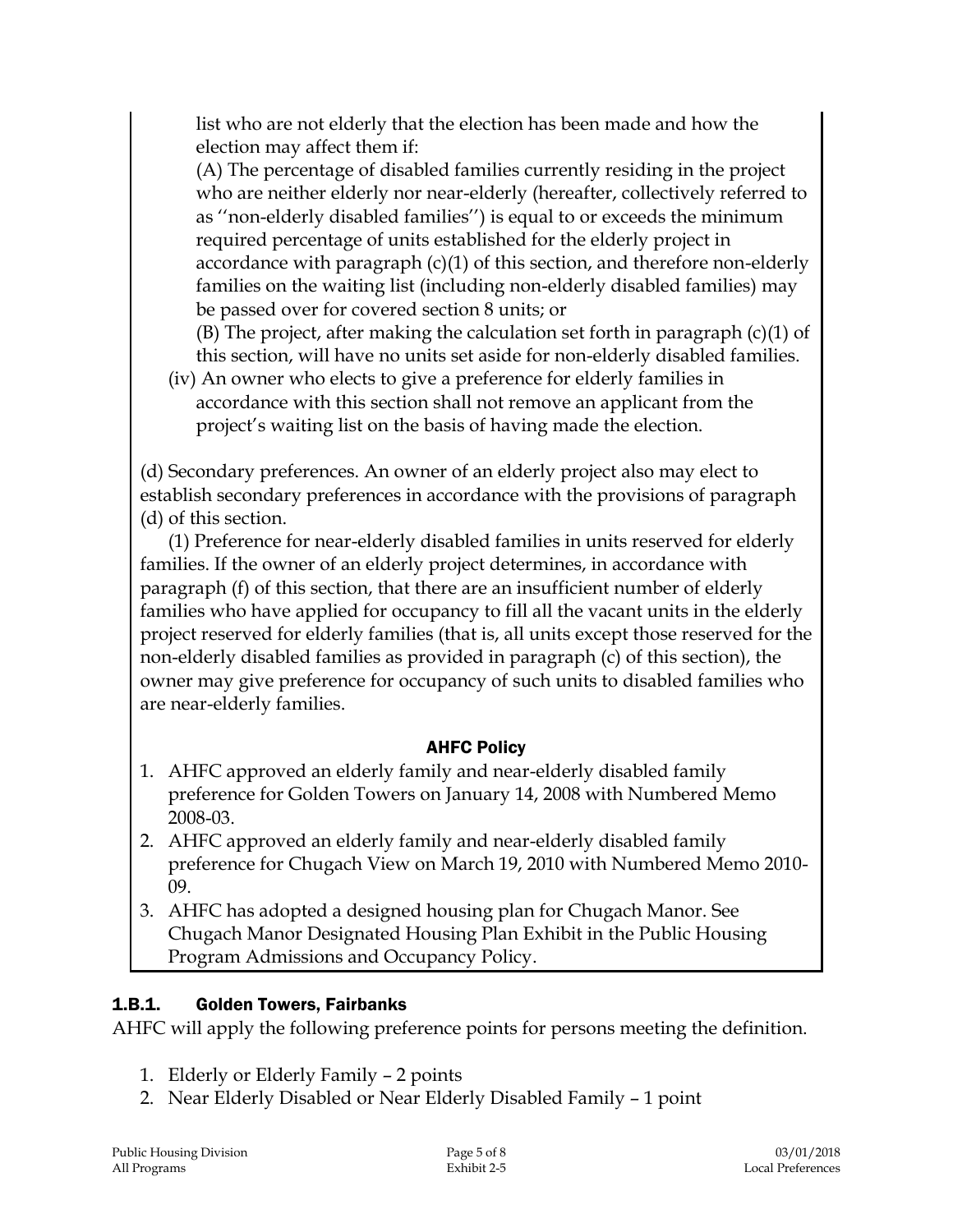list who are not elderly that the election has been made and how the election may affect them if:

(A) The percentage of disabled families currently residing in the project who are neither elderly nor near-elderly (hereafter, collectively referred to as ''non-elderly disabled families'') is equal to or exceeds the minimum required percentage of units established for the elderly project in accordance with paragraph (c)(1) of this section, and therefore non-elderly families on the waiting list (including non-elderly disabled families) may be passed over for covered section 8 units; or

(B) The project, after making the calculation set forth in paragraph (c)(1) of this section, will have no units set aside for non-elderly disabled families.

(iv) An owner who elects to give a preference for elderly families in accordance with this section shall not remove an applicant from the project's waiting list on the basis of having made the election.

(d) Secondary preferences. An owner of an elderly project also may elect to establish secondary preferences in accordance with the provisions of paragraph (d) of this section.

(1) Preference for near-elderly disabled families in units reserved for elderly families. If the owner of an elderly project determines, in accordance with paragraph (f) of this section, that there are an insufficient number of elderly families who have applied for occupancy to fill all the vacant units in the elderly project reserved for elderly families (that is, all units except those reserved for the non-elderly disabled families as provided in paragraph (c) of this section), the owner may give preference for occupancy of such units to disabled families who are near-elderly families.

### AHFC Policy

- 1. AHFC approved an elderly family and near-elderly disabled family preference for Golden Towers on January 14, 2008 with Numbered Memo 2008-03.
- 2. AHFC approved an elderly family and near-elderly disabled family preference for Chugach View on March 19, 2010 with Numbered Memo 2010- 09.
- 3. AHFC has adopted a designed housing plan for Chugach Manor. See Chugach Manor Designated Housing Plan Exhibit in the Public Housing Program Admissions and Occupancy Policy.

### 1.B.1. Golden Towers, Fairbanks

AHFC will apply the following preference points for persons meeting the definition.

- 1. Elderly or Elderly Family 2 points
- 2. Near Elderly Disabled or Near Elderly Disabled Family 1 point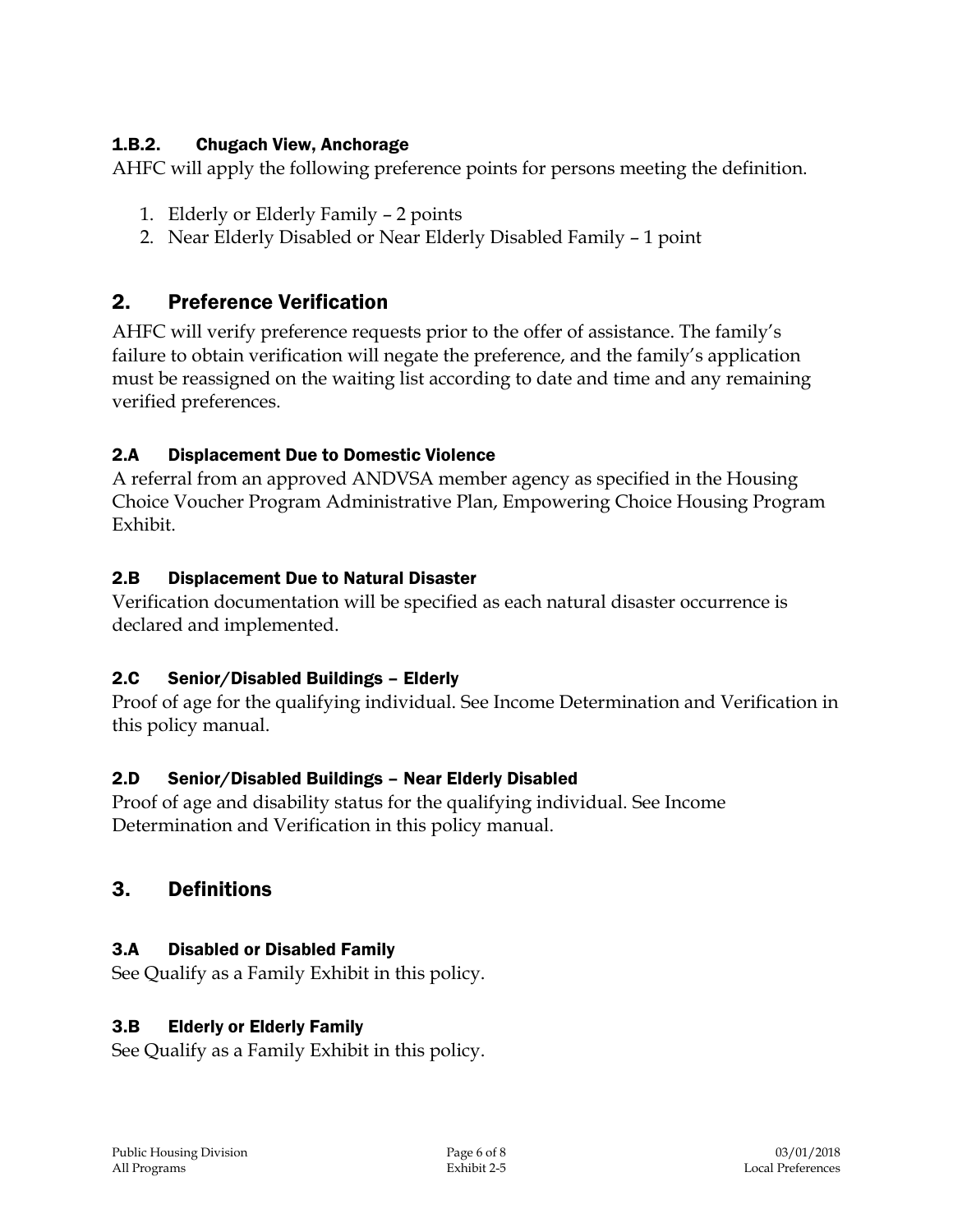### 1.B.2. Chugach View, Anchorage

AHFC will apply the following preference points for persons meeting the definition.

- 1. Elderly or Elderly Family 2 points
- 2. Near Elderly Disabled or Near Elderly Disabled Family 1 point

## 2. Preference Verification

AHFC will verify preference requests prior to the offer of assistance. The family's failure to obtain verification will negate the preference, and the family's application must be reassigned on the waiting list according to date and time and any remaining verified preferences.

### 2.A Displacement Due to Domestic Violence

A referral from an approved ANDVSA member agency as specified in the Housing Choice Voucher Program Administrative Plan, Empowering Choice Housing Program Exhibit.

### 2.B Displacement Due to Natural Disaster

Verification documentation will be specified as each natural disaster occurrence is declared and implemented.

### 2.C Senior/Disabled Buildings – Elderly

Proof of age for the qualifying individual. See Income Determination and Verification in this policy manual.

### 2.D Senior/Disabled Buildings – Near Elderly Disabled

Proof of age and disability status for the qualifying individual. See Income Determination and Verification in this policy manual.

### 3. Definitions

### 3.A Disabled or Disabled Family

See Qualify as a Family Exhibit in this policy.

### 3.B Elderly or Elderly Family

See Qualify as a Family Exhibit in this policy.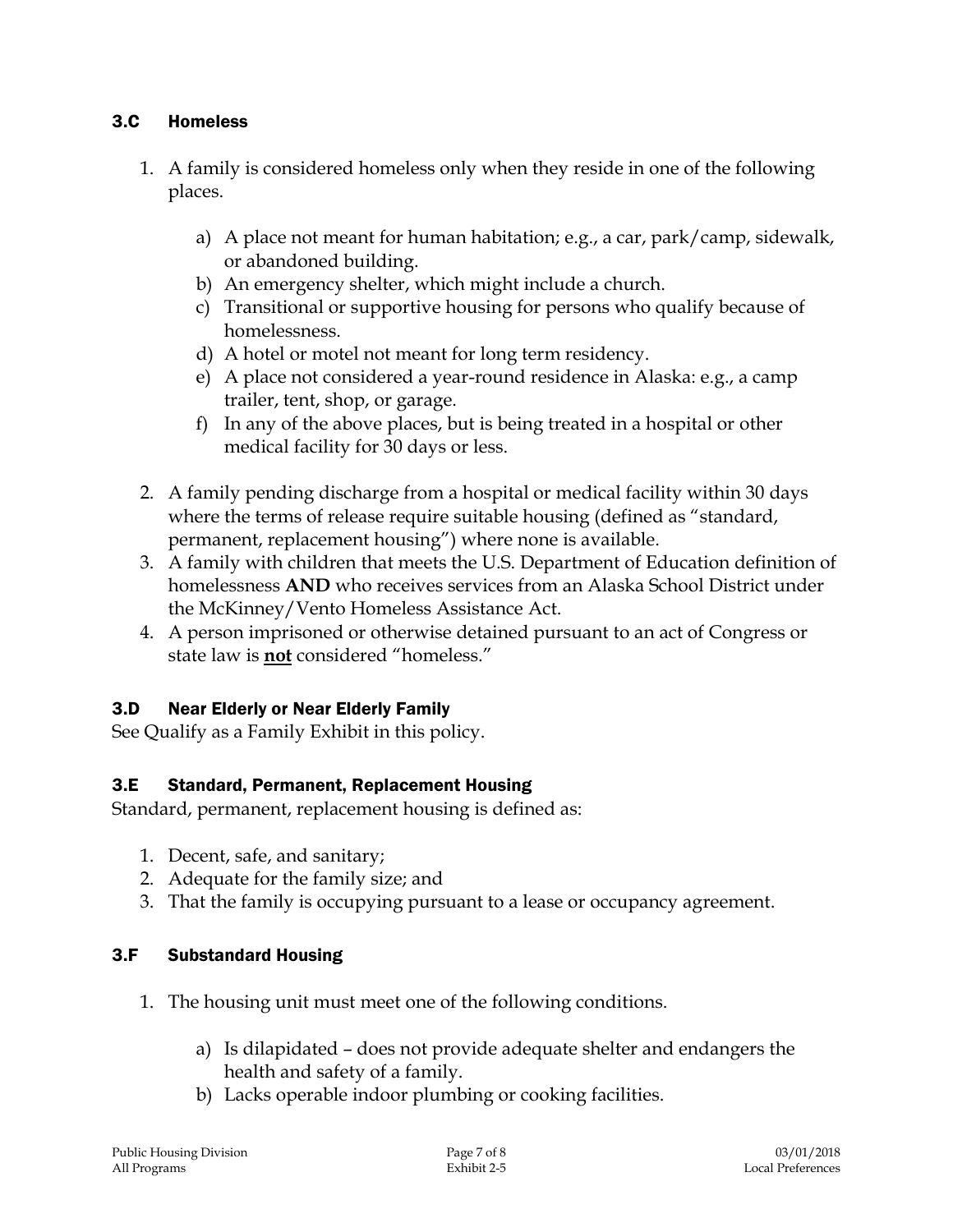#### 3.C Homeless

- 1. A family is considered homeless only when they reside in one of the following places.
	- a) A place not meant for human habitation; e.g., a car, park/camp, sidewalk, or abandoned building.
	- b) An emergency shelter, which might include a church.
	- c) Transitional or supportive housing for persons who qualify because of homelessness.
	- d) A hotel or motel not meant for long term residency.
	- e) A place not considered a year-round residence in Alaska: e.g., a camp trailer, tent, shop, or garage.
	- f) In any of the above places, but is being treated in a hospital or other medical facility for 30 days or less.
- 2. A family pending discharge from a hospital or medical facility within 30 days where the terms of release require suitable housing (defined as "standard, permanent, replacement housing") where none is available.
- 3. A family with children that meets the U.S. Department of Education definition of homelessness **AND** who receives services from an Alaska School District under the McKinney/Vento Homeless Assistance Act.
- 4. A person imprisoned or otherwise detained pursuant to an act of Congress or state law is **not** considered "homeless."

#### 3.D Near Elderly or Near Elderly Family

See Qualify as a Family Exhibit in this policy.

#### 3.E Standard, Permanent, Replacement Housing

Standard, permanent, replacement housing is defined as:

- 1. Decent, safe, and sanitary;
- 2. Adequate for the family size; and
- 3. That the family is occupying pursuant to a lease or occupancy agreement.

#### 3.F Substandard Housing

- 1. The housing unit must meet one of the following conditions.
	- a) Is dilapidated does not provide adequate shelter and endangers the health and safety of a family.
	- b) Lacks operable indoor plumbing or cooking facilities.